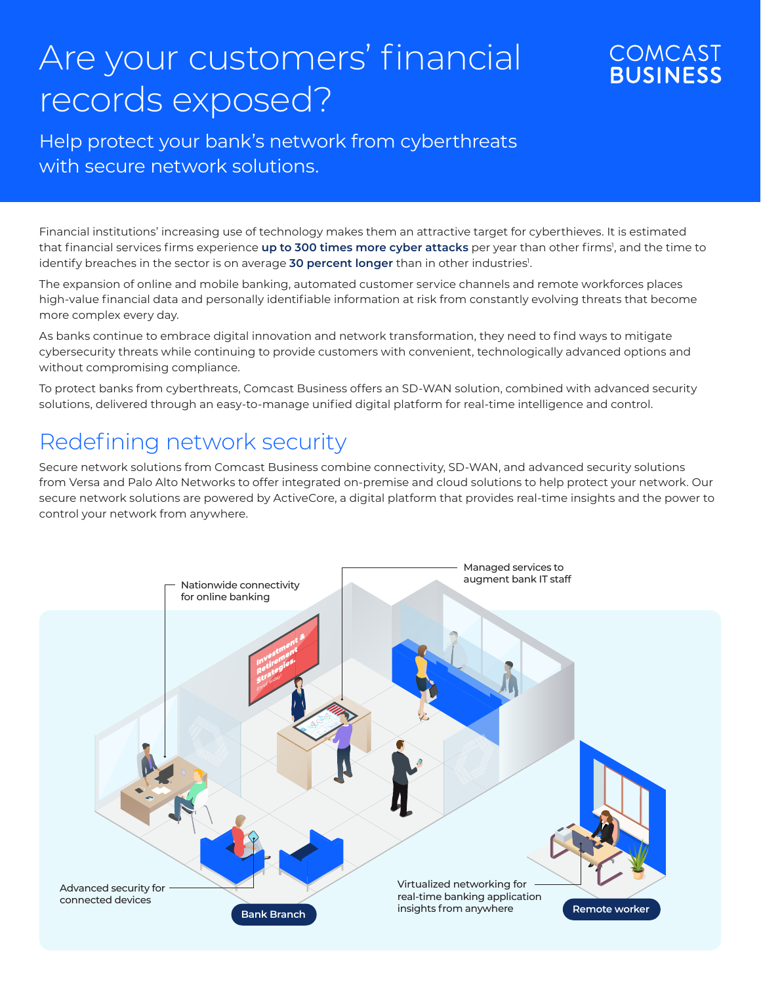## Are your customers' financial records exposed?

## **COMCAST BUSINESS**

Help protect your bank's network from cyberthreats with secure network solutions.

Financial institutions' increasing use of technology makes them an attractive target for cyberthieves. It is estimated that financial services firms experience **up to 300 times more cyber attacks** per year than other firms<sup>1</sup>, and the time to identify breaches in the sector is on average **30 percent longer** than in other industries<sup>1</sup>.

The expansion of online and mobile banking, automated customer service channels and remote workforces places high-value financial data and personally identifiable information at risk from constantly evolving threats that become more complex every day.

As banks continue to embrace digital innovation and network transformation, they need to find ways to mitigate cybersecurity threats while continuing to provide customers with convenient, technologically advanced options and without compromising compliance.

To protect banks from cyberthreats, Comcast Business offers an SD-WAN solution, combined with advanced security solutions, delivered through an easy-to-manage unified digital platform for real-time intelligence and control.

## Redefining network security

Secure network solutions from Comcast Business combine connectivity, SD-WAN, and advanced security solutions from Versa and Palo Alto Networks to offer integrated on-premise and cloud solutions to help protect your network. Our secure network solutions are powered by ActiveCore, a digital platform that provides real-time insights and the power to control your network from anywhere.